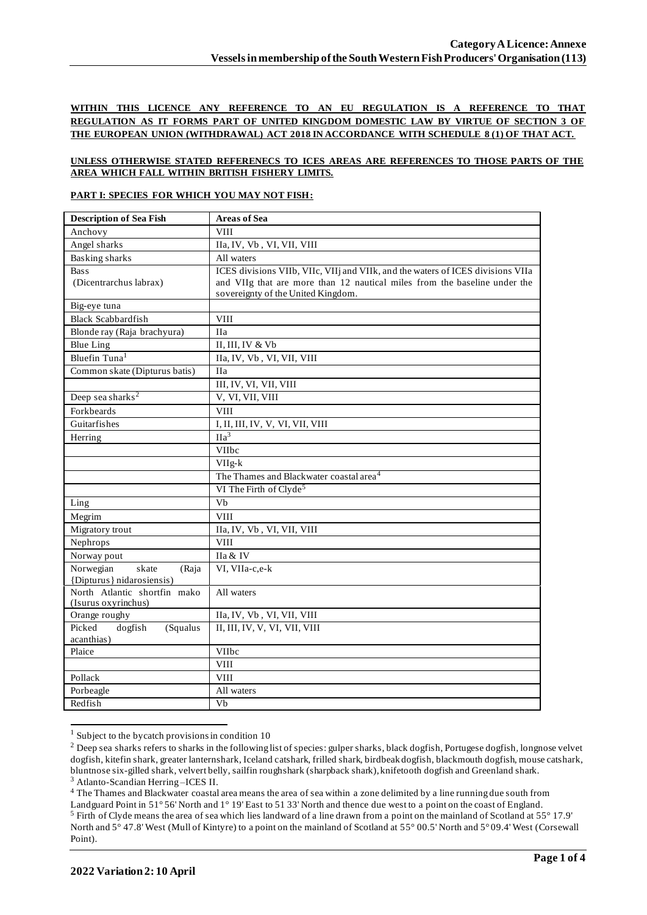## **WITHIN THIS LICENCE ANY REFERENCE TO AN EU REGULATION IS A REFERENCE TO THAT REGULATION AS IT FORMS PART OF UNITED KINGDOM DOMESTIC LAW BY VIRTUE OF SECTION 3 OF THE EUROPEAN UNION (WITHDRAWAL) ACT 2018 IN ACCORDANCE WITH SCHEDULE 8 (1) OF THAT ACT.**

#### **UNLESS OTHERWISE STATED REFERENECS TO ICES AREAS ARE REFERENCES TO THOSE PARTS OF THE AREA WHICH FALL WITHIN BRITISH FISHERY LIMITS.**

### **PART I: SPECIES FOR WHICH YOU MAY NOT FISH:**

| <b>Description of Sea Fish</b> | <b>Areas of Sea</b>                                                             |  |  |  |
|--------------------------------|---------------------------------------------------------------------------------|--|--|--|
| Anchovy                        | <b>VIII</b>                                                                     |  |  |  |
| Angel sharks                   | IIa, IV, Vb, VI, VII, VIII                                                      |  |  |  |
| Basking sharks                 | All waters                                                                      |  |  |  |
| <b>Bass</b>                    | ICES divisions VIIb, VIIc, VIIj and VIIk, and the waters of ICES divisions VIIa |  |  |  |
| (Dicentrarchus labrax)         | and VIIg that are more than 12 nautical miles from the baseline under the       |  |  |  |
|                                | sovereignty of the United Kingdom.                                              |  |  |  |
| Big-eye tuna                   |                                                                                 |  |  |  |
| <b>Black Scabbardfish</b>      | <b>VIII</b>                                                                     |  |  |  |
| Blonde ray (Raja brachyura)    | <b>IIa</b>                                                                      |  |  |  |
| <b>Blue Ling</b>               | II, III, IV & Vb                                                                |  |  |  |
| Bluefin Tuna <sup>1</sup>      | IIa, IV, Vb, VI, VII, VIII                                                      |  |  |  |
| Common skate (Dipturus batis)  | <b>IIa</b>                                                                      |  |  |  |
|                                | III, IV, VI, VII, VIII                                                          |  |  |  |
| Deep sea sharks <sup>2</sup>   | V, VI, VII, VIII                                                                |  |  |  |
| Forkbeards                     | <b>VIII</b>                                                                     |  |  |  |
| Guitarfishes                   | I, II, III, IV, V, VI, VII, VIII                                                |  |  |  |
| Herring                        | $\Pi a^3$                                                                       |  |  |  |
|                                | VIIbc                                                                           |  |  |  |
|                                | VIIg-k                                                                          |  |  |  |
|                                | The Thames and Blackwater coastal area <sup>4</sup>                             |  |  |  |
|                                | VI The Firth of Clyde <sup>5</sup>                                              |  |  |  |
| Ling                           | Vb                                                                              |  |  |  |
| Megrim                         | <b>VIII</b>                                                                     |  |  |  |
| Migratory trout                | IIa, IV, Vb, VI, VII, VIII                                                      |  |  |  |
| Nephrops                       | <b>VIII</b>                                                                     |  |  |  |
| Norway pout                    | IIa & IV                                                                        |  |  |  |
| Norwegian<br>skate<br>(Raja    | VI, VIIa-c,e-k                                                                  |  |  |  |
| {Dipturus} nidarosiensis)      |                                                                                 |  |  |  |
| North Atlantic shortfin mako   | All waters                                                                      |  |  |  |
| (Isurus oxyrinchus)            |                                                                                 |  |  |  |
| Orange roughy                  | IIa, IV, Vb, VI, VII, VIII                                                      |  |  |  |
| Picked<br>dogfish<br>(Squalus  | II, III, IV, V, VI, VII, VIII                                                   |  |  |  |
| acanthias)<br>Plaice           | VIIbc                                                                           |  |  |  |
|                                | <b>VIII</b>                                                                     |  |  |  |
| Pollack                        | <b>VIII</b>                                                                     |  |  |  |
| Porbeagle                      | All waters                                                                      |  |  |  |
| Redfish                        | $\overline{V}$                                                                  |  |  |  |
|                                |                                                                                 |  |  |  |

 $1$  Subject to the bycatch provisions in condition 10

<sup>4</sup> The Thames and Blackwater coastal area means the area of sea within a zone delimited by a line running due south from

<sup>&</sup>lt;sup>2</sup> Deep sea sharks refers to sharks in the following list of species: gulper sharks, black dogfish, Portugese dogfish, longnose velvet dogfish, kitefin shark, greater lanternshark, Iceland catshark, frilled shark, birdbeak dogfish, blackmouth dogfish, mouse catshark, bluntnose six-gilled shark, velvert belly, sailfin roughshark (sharpback shark), knifetooth dogfish and Greenland shark. <sup>3</sup> Atlanto-Scandian Herring –ICES II.

Landguard Point in 51° 56' North and 1° 19' East to 51 33' North and thence due west to a point on the coast of England. <sup>5</sup> Firth of Clyde means the area of sea which lies landward of a line drawn from a point on the mainland of Scotland at 55° 17.9' North and 5° 47.8' West (Mull of Kintyre) to a point on the mainland of Scotland at 55° 00.5' North and 5° 09.4' West (Corsewall Point).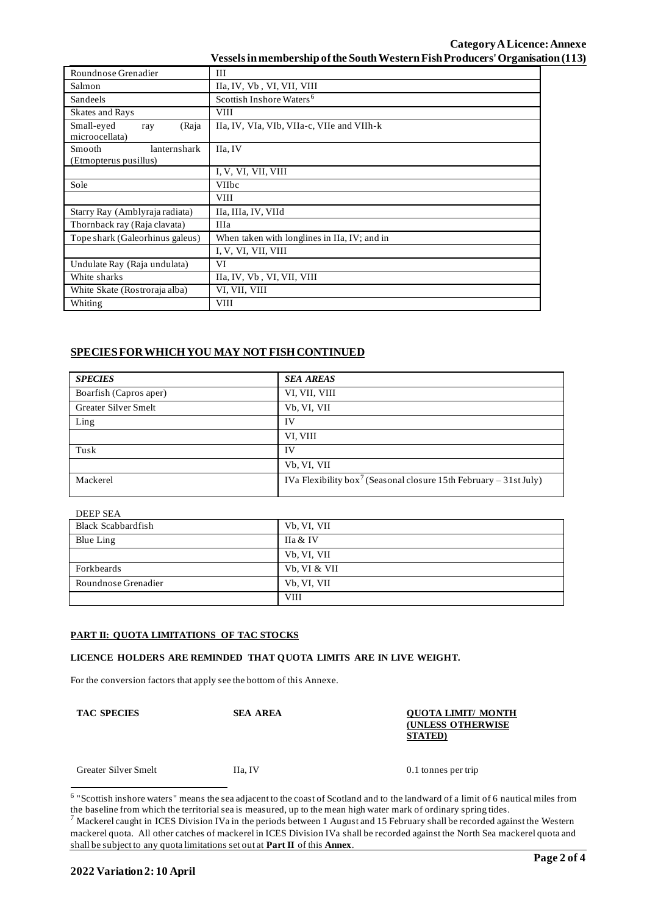## **Category ALicence: Annexe Vessels in membership of the South Western Fish Producers' Organisation (113)**

| Roundnose Grenadier                                    | Ш                                            |  |  |  |
|--------------------------------------------------------|----------------------------------------------|--|--|--|
| Salmon                                                 | IIa, IV, Vb, VI, VII, VIII                   |  |  |  |
| Sandeels                                               | Scottish Inshore Waters <sup>6</sup>         |  |  |  |
| Skates and Rays                                        | <b>VIII</b>                                  |  |  |  |
| Small-eyed<br>(Raja<br>ray<br>microocellata)           | IIa, IV, VIa, VIb, VIIa-c, VIIe and VIIh-k   |  |  |  |
| <b>Smooth</b><br>lanternshark<br>(Etmopterus pusillus) | IIa, IV                                      |  |  |  |
|                                                        | I, V, VI, VII, VIII                          |  |  |  |
| Sole                                                   | <b>VIIbc</b>                                 |  |  |  |
|                                                        | <b>VIII</b>                                  |  |  |  |
| Starry Ray (Amblyraja radiata)                         | IIa, IIIa, IV, VIId                          |  |  |  |
| Thornback ray (Raja clavata)                           | <b>IIIa</b>                                  |  |  |  |
| Tope shark (Galeorhinus galeus)                        | When taken with longlines in IIa, IV; and in |  |  |  |
|                                                        | I, V, VI, VII, VIII                          |  |  |  |
| Undulate Ray (Raja undulata)                           | VI                                           |  |  |  |
| White sharks                                           | IIa, IV, Vb, VI, VII, VIII                   |  |  |  |
| White Skate (Rostroraja alba)                          | VI, VII, VIII                                |  |  |  |
| Whiting                                                | <b>VIII</b>                                  |  |  |  |

# **SPECIES FOR WHICH YOU MAY NOT FISH CONTINUED**

| <b>SPECIES</b>              | <b>SEA AREAS</b>                                                              |
|-----------------------------|-------------------------------------------------------------------------------|
| Boarfish (Capros aper)      | VI, VII, VIII                                                                 |
| <b>Greater Silver Smelt</b> | Vb, VI, VII                                                                   |
| Ling                        | IV                                                                            |
|                             | VI, VIII                                                                      |
| Tusk                        | <b>IV</b>                                                                     |
|                             | Vb, VI, VII                                                                   |
| Mackerel                    | IVa Flexibility box <sup>7</sup> (Seasonal closure 15th February – 31st July) |

| <b>DEEP SEA</b>           |                     |
|---------------------------|---------------------|
| <b>Black Scabbardfish</b> | Vb, VI, VII         |
| Blue Ling                 | <b>IIa &amp; IV</b> |
|                           | Vb, VI, VII         |
| Forkbeards                | Vb, VI & VII        |
| Roundnose Grenadier       | Vb, VI, VII         |
|                           | <b>VIII</b>         |

### **PART II: QUOTA LIMITATIONS OF TAC STOCKS**

# **LICENCE HOLDERS ARE REMINDED THAT QUOTA LIMITS ARE IN LIVE WEIGHT.**

For the conversion factors that apply see the bottom of this Annexe.

#### **TAC SPECIES SEA AREA QUOTA LIMIT/ MONTH (UNLESS OTHERWISE STATED)**

Greater Silver Smelt IIa, IV 0.1 tonnes per trip

<sup>&</sup>lt;sup>6</sup> "Scottish inshore waters" means the sea adjacent to the coast of Scotland and to the landward of a limit of 6 nautical miles from the baseline from which the territorial sea is measured, up to the mean high water mark of ordinary spring tides.

 $^7$  Mackerel caught in ICES Division IVa in the periods between 1 August and 15 February shall be recorded against the Western mackerel quota. All other catches of mackerel in ICES Division IVa shall be recorded against the North Sea mackerel quota and shall be subject to any quota limitations set out at **Part II** of this **Annex**.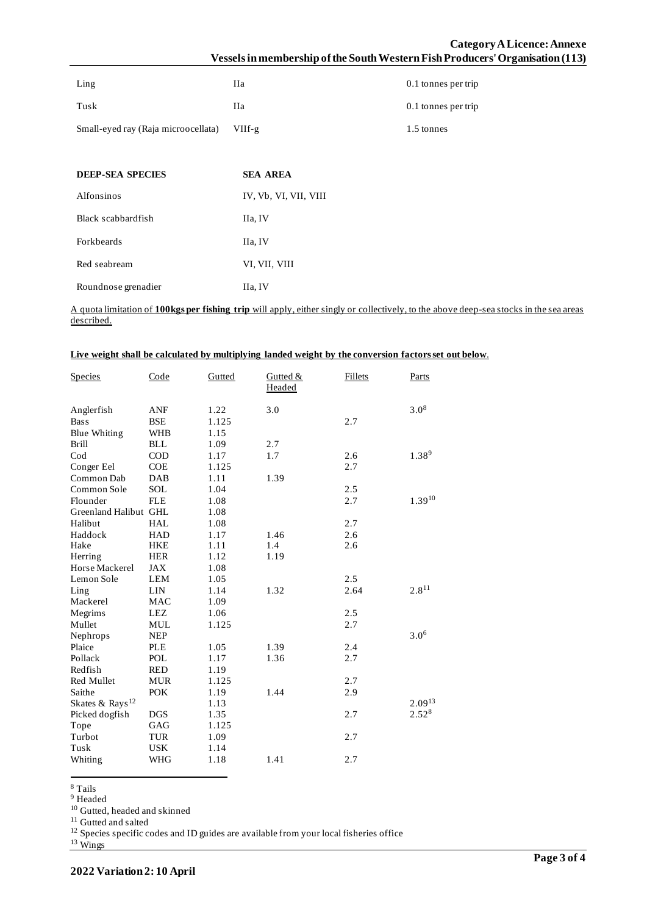| Ling                                | Пa       | 0.1 tonnes per trip |
|-------------------------------------|----------|---------------------|
| Tusk                                | Пa       | 0.1 tonnes per trip |
| Small-eyed ray (Raja microocellata) | $VIIf-g$ | 1.5 tonnes          |

| <b>DEEP-SEA SPECIES</b> | <b>SEA AREA</b>       |
|-------------------------|-----------------------|
| <b>Alfonsinos</b>       | IV, Vb, VI, VII, VIII |
| Black scabbardfish      | IIa, IV               |
| Forkbeards              | IIa, IV               |
| Red seabream            | VI, VII, VIII         |
| Roundnose grenadier     | IIa, IV               |

A quota limitation of **100kgs per fishing trip** will apply, either singly or collectively, to the above deep-sea stocks in the sea areas described.

|  |  |  | Live weight shall be calculated by multiplying landed weight by the conversion factors set out below. |
|--|--|--|-------------------------------------------------------------------------------------------------------|
|  |  |  |                                                                                                       |

| <b>Species</b>              | Code       | Gutted | Gutted $&$<br>Headed | Fillets | Parts       |
|-----------------------------|------------|--------|----------------------|---------|-------------|
| Anglerfish                  | ANF        | 1.22   | 3.0                  |         | $3.0^{8}$   |
| <b>Bass</b>                 | <b>BSE</b> | 1.125  |                      | 2.7     |             |
| <b>Blue Whiting</b>         | <b>WHB</b> | 1.15   |                      |         |             |
| <b>Brill</b>                | <b>BLL</b> | 1.09   | 2.7                  |         |             |
| $\mathrm{Cod}$              | <b>COD</b> | 1.17   | 1.7                  | 2.6     | $1.38^{9}$  |
| Conger Eel                  | <b>COE</b> | 1.125  |                      | 2.7     |             |
| Common Dab                  | DAB        | 1.11   | 1.39                 |         |             |
| Common Sole                 | SOL        | 1.04   |                      | 2.5     |             |
| Flounder                    | <b>FLE</b> | 1.08   |                      | 2.7     | $1.39^{10}$ |
| Greenland Halibut GHL       |            | 1.08   |                      |         |             |
| Halibut                     | <b>HAL</b> | 1.08   |                      | 2.7     |             |
| Haddock                     | <b>HAD</b> | 1.17   | 1.46                 | 2.6     |             |
| Hake                        | <b>HKE</b> | 1.11   | 1.4                  | 2.6     |             |
| Herring                     | <b>HER</b> | 1.12   | 1.19                 |         |             |
| Horse Mackerel              | JAX        | 1.08   |                      |         |             |
| Lemon Sole                  | <b>LEM</b> | 1.05   |                      | 2.5     |             |
| Ling                        | <b>LIN</b> | 1.14   | 1.32                 | 2.64    | $2.8^{11}$  |
| Mackerel                    | MAC        | 1.09   |                      |         |             |
| Megrims                     | LEZ        | 1.06   |                      | 2.5     |             |
| Mullet                      | MUL        | 1.125  |                      | 2.7     |             |
| Nephrops                    | <b>NEP</b> |        |                      |         | $3.0^{6}$   |
| Plaice                      | <b>PLE</b> | 1.05   | 1.39                 | 2.4     |             |
| Pollack                     | POL        | 1.17   | 1.36                 | 2.7     |             |
| Redfish                     | <b>RED</b> | 1.19   |                      |         |             |
| Red Mullet                  | <b>MUR</b> | 1.125  |                      | 2.7     |             |
| Saithe                      | <b>POK</b> | 1.19   | 1.44                 | 2.9     |             |
| Skates & Rays <sup>12</sup> |            | 1.13   |                      |         | $2.09^{13}$ |
| Picked dogfish              | <b>DGS</b> | 1.35   |                      | 2.7     | 2.528       |
| Tope                        | GAG        | 1.125  |                      |         |             |
| Turbot                      | <b>TUR</b> | 1.09   |                      | 2.7     |             |
| Tusk                        | <b>USK</b> | 1.14   |                      |         |             |
| Whiting                     | WHG        | 1.18   | 1.41                 | 2.7     |             |

<sup>8</sup> Tails

<sup>9</sup> Headed

<sup>10</sup> Gutted, headed and skinned

<sup>11</sup> Gutted and salted

 $12$  Species specific codes and ID guides are available from your local fisheries office

<sup>13</sup> Wings